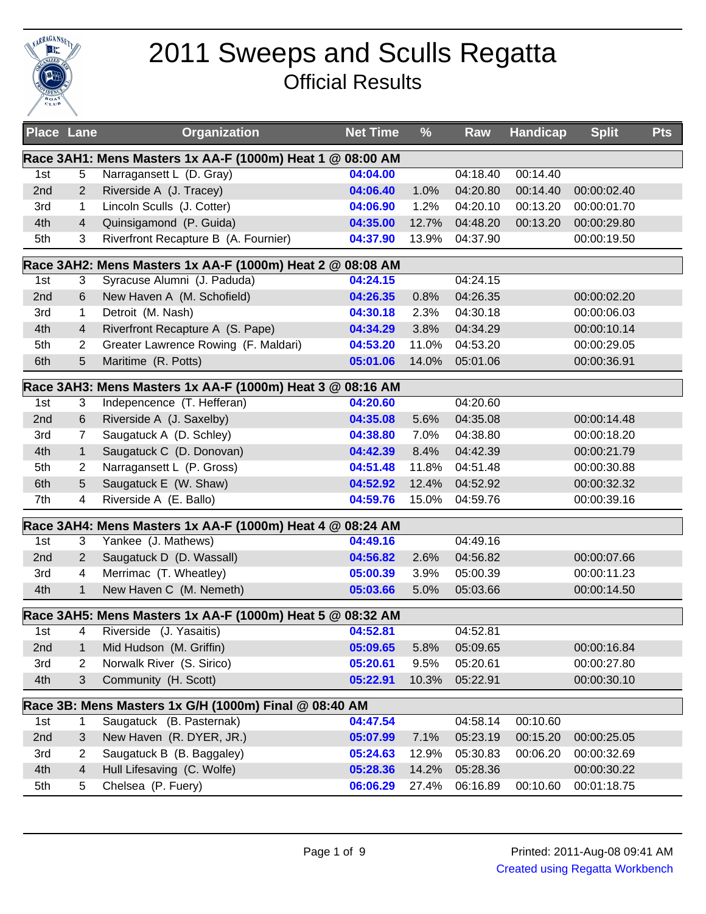

## 2011 Sweeps and Sculls Regatta Official Results

| <b>Place Lane</b> |                | <b>Organization</b>                                       | <b>Net Time</b> | $\frac{9}{6}$ | Raw      | <b>Handicap</b> | <b>Split</b> | <b>Pts</b> |
|-------------------|----------------|-----------------------------------------------------------|-----------------|---------------|----------|-----------------|--------------|------------|
|                   |                | Race 3AH1: Mens Masters 1x AA-F (1000m) Heat 1 @ 08:00 AM |                 |               |          |                 |              |            |
| 1st               | 5              | Narragansett L (D. Gray)                                  | 04:04.00        |               | 04:18.40 | 00:14.40        |              |            |
| 2nd               | 2              | Riverside A (J. Tracey)                                   | 04:06.40        | 1.0%          | 04:20.80 | 00:14.40        | 00:00:02.40  |            |
| 3rd               | 1              | Lincoln Sculls (J. Cotter)                                | 04:06.90        | 1.2%          | 04:20.10 | 00:13.20        | 00:00:01.70  |            |
| 4th               | 4              | Quinsigamond (P. Guida)                                   | 04:35.00        | 12.7%         | 04:48.20 | 00:13.20        | 00:00:29.80  |            |
| 5th               | 3              | Riverfront Recapture B (A. Fournier)                      | 04:37.90        | 13.9%         | 04:37.90 |                 | 00:00:19.50  |            |
|                   |                | Race 3AH2: Mens Masters 1x AA-F (1000m) Heat 2 @ 08:08 AM |                 |               |          |                 |              |            |
| 1st               | 3              | Syracuse Alumni (J. Paduda)                               | 04:24.15        |               | 04:24.15 |                 |              |            |
| 2nd               | 6              | New Haven A (M. Schofield)                                | 04:26.35        | 0.8%          | 04:26.35 |                 | 00:00:02.20  |            |
| 3rd               | 1              | Detroit (M. Nash)                                         | 04:30.18        | 2.3%          | 04:30.18 |                 | 00:00:06.03  |            |
| 4th               | $\overline{4}$ | Riverfront Recapture A (S. Pape)                          | 04:34.29        | 3.8%          | 04:34.29 |                 | 00:00:10.14  |            |
| 5th               | 2              | Greater Lawrence Rowing (F. Maldari)                      | 04:53.20        | 11.0%         | 04:53.20 |                 | 00:00:29.05  |            |
| 6th               | 5              | Maritime (R. Potts)                                       | 05:01.06        | 14.0%         | 05:01.06 |                 | 00:00:36.91  |            |
|                   |                | Race 3AH3: Mens Masters 1x AA-F (1000m) Heat 3 @          | 08:16 AM        |               |          |                 |              |            |
| 1st               | 3              | Indepencence (T. Hefferan)                                | 04:20.60        |               | 04:20.60 |                 |              |            |
| 2nd               | 6              | Riverside A (J. Saxelby)                                  | 04:35.08        | 5.6%          | 04:35.08 |                 | 00:00:14.48  |            |
| 3rd               | $\overline{7}$ | Saugatuck A (D. Schley)                                   | 04:38.80        | 7.0%          | 04:38.80 |                 | 00:00:18.20  |            |
| 4th               | $\mathbf{1}$   | Saugatuck C (D. Donovan)                                  | 04:42.39        | 8.4%          | 04:42.39 |                 | 00:00:21.79  |            |
| 5th               | 2              | Narragansett L (P. Gross)                                 | 04:51.48        | 11.8%         | 04:51.48 |                 | 00:00:30.88  |            |
| 6th               | 5              | Saugatuck E (W. Shaw)                                     | 04:52.92        | 12.4%         | 04:52.92 |                 | 00:00:32.32  |            |
| 7th               | 4              | Riverside A (E. Ballo)                                    | 04:59.76        | 15.0%         | 04:59.76 |                 | 00:00:39.16  |            |
|                   |                | Race 3AH4: Mens Masters 1x AA-F (1000m) Heat 4 @ 08:24 AM |                 |               |          |                 |              |            |
| 1st               | 3              | Yankee (J. Mathews)                                       | 04:49.16        |               | 04:49.16 |                 |              |            |
| 2nd               | $\overline{2}$ | Saugatuck D (D. Wassall)                                  | 04:56.82        | 2.6%          | 04:56.82 |                 | 00:00:07.66  |            |
| 3rd               | 4              | Merrimac (T. Wheatley)                                    | 05:00.39        | 3.9%          | 05:00.39 |                 | 00:00:11.23  |            |
| 4th               | $\mathbf{1}$   | New Haven C (M. Nemeth)                                   | 05:03.66        | 5.0%          | 05:03.66 |                 | 00:00:14.50  |            |
|                   |                | Race 3AH5: Mens Masters 1x AA-F (1000m) Heat 5 @ 08:32 AM |                 |               |          |                 |              |            |
| 1st               | 4              | Riverside (J. Yasaitis)                                   | 04:52.81        |               | 04:52.81 |                 |              |            |
| 2nd               | 1              | Mid Hudson (M. Griffin)                                   | 05:09.65        | 5.8%          | 05:09.65 |                 | 00:00:16.84  |            |
| 3rd               | 2              | Norwalk River (S. Sirico)                                 | 05:20.61        | 9.5%          | 05:20.61 |                 | 00:00:27.80  |            |
| 4th               | 3              | Community (H. Scott)                                      | 05:22.91        | 10.3%         | 05:22.91 |                 | 00:00:30.10  |            |
|                   |                | Race 3B: Mens Masters 1x G/H (1000m) Final @ 08:40 AM     |                 |               |          |                 |              |            |
| 1st               | 1              | Saugatuck (B. Pasternak)                                  | 04:47.54        |               | 04:58.14 | 00:10.60        |              |            |
| 2nd               | 3              | New Haven (R. DYER, JR.)                                  | 05:07.99        | 7.1%          | 05:23.19 | 00:15.20        | 00:00:25.05  |            |
| 3rd               | 2              | Saugatuck B (B. Baggaley)                                 | 05:24.63        | 12.9%         | 05:30.83 | 00:06.20        | 00:00:32.69  |            |
| 4th               | 4              | Hull Lifesaving (C. Wolfe)                                | 05:28.36        | 14.2%         | 05:28.36 |                 | 00:00:30.22  |            |
| 5th               | 5              | Chelsea (P. Fuery)                                        | 06:06.29        | 27.4%         | 06:16.89 | 00:10.60        | 00:01:18.75  |            |
|                   |                |                                                           |                 |               |          |                 |              |            |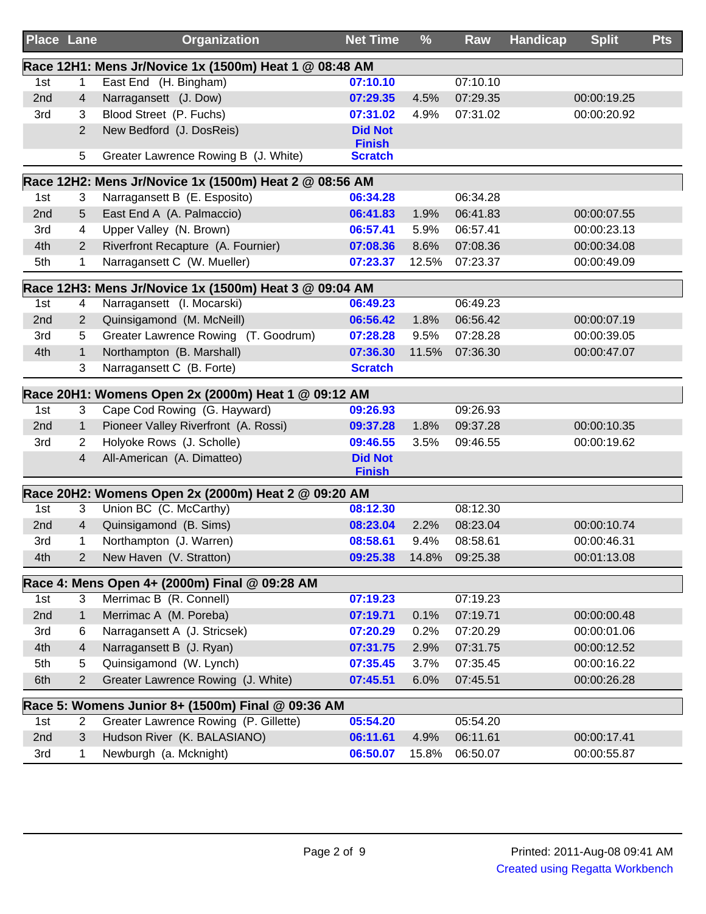| <b>Place Lane</b> |                | Organization                                           | <b>Net Time</b>                 | %     | Raw      | <b>Handicap</b><br><b>Split</b> | <b>Pts</b> |
|-------------------|----------------|--------------------------------------------------------|---------------------------------|-------|----------|---------------------------------|------------|
|                   |                | Race 12H1: Mens Jr/Novice 1x (1500m) Heat 1 @ 08:48 AM |                                 |       |          |                                 |            |
| 1st               | 1              | East End (H. Bingham)                                  | 07:10.10                        |       | 07:10.10 |                                 |            |
| 2nd               | 4              | Narragansett (J. Dow)                                  | 07:29.35                        | 4.5%  | 07:29.35 | 00:00:19.25                     |            |
| 3rd               | 3              | Blood Street (P. Fuchs)                                | 07:31.02                        | 4.9%  | 07:31.02 | 00:00:20.92                     |            |
|                   | $\overline{2}$ | New Bedford (J. DosReis)                               | <b>Did Not</b><br><b>Finish</b> |       |          |                                 |            |
|                   | 5              | Greater Lawrence Rowing B (J. White)                   | <b>Scratch</b>                  |       |          |                                 |            |
|                   |                | Race 12H2: Mens Jr/Novice 1x (1500m) Heat 2 @ 08:56 AM |                                 |       |          |                                 |            |
| 1st               | 3              | Narragansett B (E. Esposito)                           | 06:34.28                        |       | 06:34.28 |                                 |            |
| 2nd               | 5              | East End A (A. Palmaccio)                              | 06:41.83                        | 1.9%  | 06:41.83 | 00:00:07.55                     |            |
| 3rd               | 4              | Upper Valley (N. Brown)                                | 06:57.41                        | 5.9%  | 06:57.41 | 00:00:23.13                     |            |
| 4th               | $\overline{2}$ | Riverfront Recapture (A. Fournier)                     | 07:08.36                        | 8.6%  | 07:08.36 | 00:00:34.08                     |            |
| 5th               | 1              | Narragansett C (W. Mueller)                            | 07:23.37                        | 12.5% | 07:23.37 | 00:00:49.09                     |            |
|                   |                | Race 12H3: Mens Jr/Novice 1x (1500m) Heat 3 @ 09:04 AM |                                 |       |          |                                 |            |
| 1st               | 4              | Narragansett (I. Mocarski)                             | 06:49.23                        |       | 06:49.23 |                                 |            |
| 2nd               | $\overline{2}$ | Quinsigamond (M. McNeill)                              | 06:56.42                        | 1.8%  | 06:56.42 | 00:00:07.19                     |            |
| 3rd               | 5              | Greater Lawrence Rowing (T. Goodrum)                   | 07:28.28                        | 9.5%  | 07:28.28 | 00:00:39.05                     |            |
| 4th               | $\mathbf{1}$   | Northampton (B. Marshall)                              | 07:36.30                        | 11.5% | 07:36.30 | 00:00:47.07                     |            |
|                   | 3              | Narragansett C (B. Forte)                              | <b>Scratch</b>                  |       |          |                                 |            |
|                   |                | Race 20H1: Womens Open 2x (2000m) Heat 1 @ 09:12 AM    |                                 |       |          |                                 |            |
| 1st               | 3              | Cape Cod Rowing (G. Hayward)                           | 09:26.93                        |       | 09:26.93 |                                 |            |
| 2nd               | $\mathbf{1}$   | Pioneer Valley Riverfront (A. Rossi)                   | 09:37.28                        | 1.8%  | 09:37.28 | 00:00:10.35                     |            |
| 3rd               | $\overline{2}$ | Holyoke Rows (J. Scholle)                              | 09:46.55                        | 3.5%  | 09:46.55 | 00:00:19.62                     |            |
|                   | 4              | All-American (A. Dimatteo)                             | <b>Did Not</b>                  |       |          |                                 |            |
|                   |                |                                                        | <b>Finish</b>                   |       |          |                                 |            |
|                   |                | Race 20H2: Womens Open 2x (2000m) Heat 2 @ 09:20 AM    |                                 |       |          |                                 |            |
| 1st               | 3              | Union BC (C. McCarthy)                                 | 08:12.30                        |       | 08:12.30 |                                 |            |
| 2nd               | 4              | Quinsigamond (B. Sims)                                 | 08:23.04                        | 2.2%  | 08:23.04 | 00:00:10.74                     |            |
| 3rd               | 1              | Northampton (J. Warren)                                | 08:58.61                        | 9.4%  | 08:58.61 | 00:00:46.31                     |            |
| 4th               | $\overline{2}$ | New Haven (V. Stratton)                                | 09:25.38                        | 14.8% | 09:25.38 | 00:01:13.08                     |            |
|                   |                | Race 4: Mens Open 4+ (2000m) Final @ 09:28 AM          |                                 |       |          |                                 |            |
| 1st               | 3              | Merrimac B (R. Connell)                                | 07:19.23                        |       | 07:19.23 |                                 |            |
| 2nd               | $\mathbf{1}$   | Merrimac A (M. Poreba)                                 | 07:19.71                        | 0.1%  | 07:19.71 | 00:00:00.48                     |            |
| 3rd               | 6              | Narragansett A (J. Stricsek)                           | 07:20.29                        | 0.2%  | 07:20.29 | 00:00:01.06                     |            |
| 4th               | $\overline{4}$ | Narragansett B (J. Ryan)                               | 07:31.75                        | 2.9%  | 07:31.75 | 00:00:12.52                     |            |
| 5th               | 5              | Quinsigamond (W. Lynch)                                | 07:35.45                        | 3.7%  | 07:35.45 | 00:00:16.22                     |            |
| 6th               | $\overline{2}$ | Greater Lawrence Rowing (J. White)                     | 07:45.51                        | 6.0%  | 07:45.51 | 00:00:26.28                     |            |
|                   |                | Race 5: Womens Junior 8+ (1500m) Final @ 09:36 AM      |                                 |       |          |                                 |            |
| 1st               | $\overline{2}$ | Greater Lawrence Rowing (P. Gillette)                  | 05:54.20                        |       | 05:54.20 |                                 |            |
| 2nd               | 3              | Hudson River (K. BALASIANO)                            | 06:11.61                        | 4.9%  | 06:11.61 | 00:00:17.41                     |            |
| 3rd               | 1              | Newburgh (a. Mcknight)                                 | 06:50.07                        | 15.8% | 06:50.07 | 00:00:55.87                     |            |
|                   |                |                                                        |                                 |       |          |                                 |            |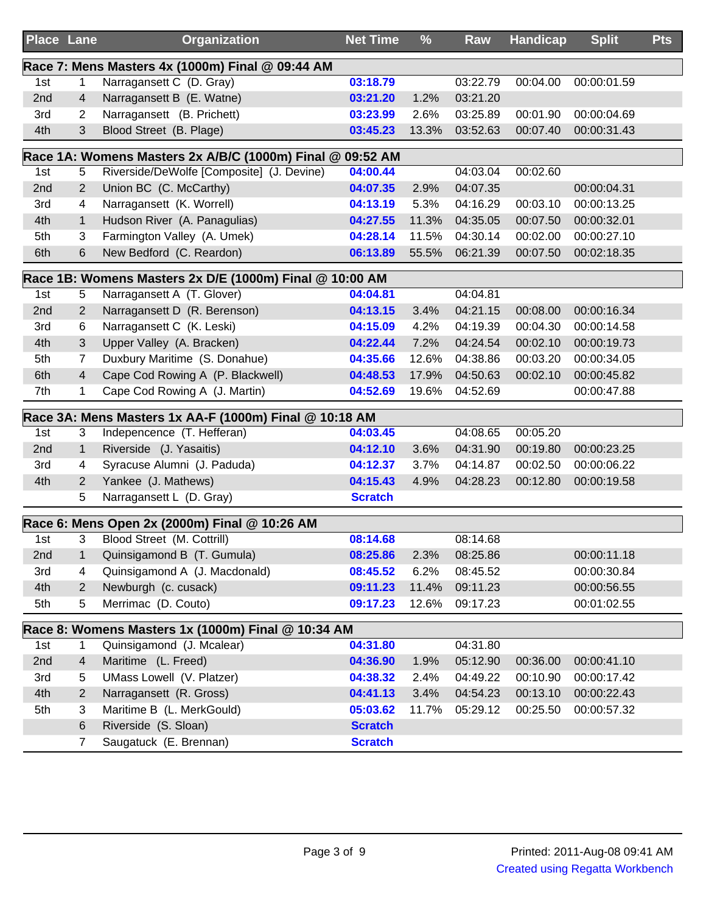| <b>Place Lane</b> |                | <b>Organization</b>                                     | <b>Net Time</b> | $\frac{9}{6}$ | Raw      | <b>Handicap</b> | <b>Split</b> | <b>Pts</b> |
|-------------------|----------------|---------------------------------------------------------|-----------------|---------------|----------|-----------------|--------------|------------|
|                   |                | Race 7: Mens Masters 4x (1000m) Final @ 09:44 AM        |                 |               |          |                 |              |            |
| 1st               | 1              | Narragansett C (D. Gray)                                | 03:18.79        |               | 03:22.79 | 00:04.00        | 00:00:01.59  |            |
| 2nd               | 4              | Narragansett B (E. Watne)                               | 03:21.20        | 1.2%          | 03:21.20 |                 |              |            |
| 3rd               | 2              | Narragansett (B. Prichett)                              | 03:23.99        | 2.6%          | 03:25.89 | 00:01.90        | 00:00:04.69  |            |
| 4th               | 3              | Blood Street (B. Plage)                                 | 03:45.23        | 13.3%         | 03:52.63 | 00:07.40        | 00:00:31.43  |            |
|                   |                | Race 1A: Womens Masters 2x A/B/C (1000m) Final @        | 09:52 AM        |               |          |                 |              |            |
| 1st               | 5              | Riverside/DeWolfe [Composite] (J. Devine)               | 04:00.44        |               | 04:03.04 | 00:02.60        |              |            |
| 2nd               | 2              | Union BC (C. McCarthy)                                  | 04:07.35        | 2.9%          | 04:07.35 |                 | 00:00:04.31  |            |
| 3rd               | 4              | Narragansett (K. Worrell)                               | 04:13.19        | 5.3%          | 04:16.29 | 00:03.10        | 00:00:13.25  |            |
| 4th               | 1              | Hudson River (A. Panagulias)                            | 04:27.55        | 11.3%         | 04:35.05 | 00:07.50        | 00:00:32.01  |            |
| 5th               | 3              | Farmington Valley (A. Umek)                             | 04:28.14        | 11.5%         | 04:30.14 | 00:02.00        | 00:00:27.10  |            |
| 6th               | 6              | New Bedford (C. Reardon)                                | 06:13.89        | 55.5%         | 06:21.39 | 00:07.50        | 00:02:18.35  |            |
|                   |                | Race 1B: Womens Masters 2x D/E (1000m) Final @ 10:00 AM |                 |               |          |                 |              |            |
| 1st               | 5              | Narragansett A (T. Glover)                              | 04:04.81        |               | 04:04.81 |                 |              |            |
| 2nd               | $\overline{2}$ | Narragansett D (R. Berenson)                            | 04:13.15        | 3.4%          | 04:21.15 | 00:08.00        | 00:00:16.34  |            |
| 3rd               | 6              | Narragansett C (K. Leski)                               | 04:15.09        | 4.2%          | 04:19.39 | 00:04.30        | 00:00:14.58  |            |
| 4th               | 3              | Upper Valley (A. Bracken)                               | 04:22.44        | 7.2%          | 04:24.54 | 00:02.10        | 00:00:19.73  |            |
| 5th               | 7              | Duxbury Maritime (S. Donahue)                           | 04:35.66        | 12.6%         | 04:38.86 | 00:03.20        | 00:00:34.05  |            |
| 6th               | 4              | Cape Cod Rowing A (P. Blackwell)                        | 04:48.53        | 17.9%         | 04:50.63 | 00:02.10        | 00:00:45.82  |            |
| 7th               | 1              | Cape Cod Rowing A (J. Martin)                           | 04:52.69        | 19.6%         | 04:52.69 |                 | 00:00:47.88  |            |
|                   |                | Race 3A: Mens Masters 1x AA-F (1000m) Final @ 10:18 AM  |                 |               |          |                 |              |            |
| 1st               | 3              | Indepencence (T. Hefferan)                              | 04:03.45        |               | 04:08.65 | 00:05.20        |              |            |
| 2nd               | $\mathbf{1}$   | Riverside (J. Yasaitis)                                 | 04:12.10        | 3.6%          | 04:31.90 | 00:19.80        | 00:00:23.25  |            |
| 3rd               | 4              | Syracuse Alumni (J. Paduda)                             | 04:12.37        | 3.7%          | 04:14.87 | 00:02.50        | 00:00:06.22  |            |
| 4th               | $\overline{2}$ | Yankee (J. Mathews)                                     | 04:15.43        | 4.9%          | 04:28.23 | 00:12.80        | 00:00:19.58  |            |
|                   | 5              | Narragansett L (D. Gray)                                | <b>Scratch</b>  |               |          |                 |              |            |
|                   |                | Race 6: Mens Open 2x (2000m) Final @ 10:26 AM           |                 |               |          |                 |              |            |
| 1st               | 3              | Blood Street (M. Cottrill)                              | 08:14.68        |               | 08:14.68 |                 |              |            |
| 2nd               | 1              | Quinsigamond B (T. Gumula)                              | 08:25.86        | 2.3%          | 08:25.86 |                 | 00:00:11.18  |            |
| 3rd               | 4              | Quinsigamond A (J. Macdonald)                           | 08:45.52        | 6.2%          | 08:45.52 |                 | 00:00:30.84  |            |
| 4th               | 2              | Newburgh (c. cusack)                                    | 09:11.23        | 11.4%         | 09:11.23 |                 | 00:00:56.55  |            |
| 5th               | 5              | Merrimac (D. Couto)                                     | 09:17.23        | 12.6%         | 09:17.23 |                 | 00:01:02.55  |            |
|                   |                | Race 8: Womens Masters 1x (1000m) Final @ 10:34 AM      |                 |               |          |                 |              |            |
| 1st               | 1              | Quinsigamond (J. Mcalear)                               | 04:31.80        |               | 04:31.80 |                 |              |            |
| 2nd               | 4              | Maritime (L. Freed)                                     | 04:36.90        | 1.9%          | 05:12.90 | 00:36.00        | 00:00:41.10  |            |
| 3rd               | 5              | UMass Lowell (V. Platzer)                               | 04:38.32        | 2.4%          | 04:49.22 | 00:10.90        | 00:00:17.42  |            |
| 4th               | 2              | Narragansett (R. Gross)                                 | 04:41.13        | 3.4%          | 04:54.23 | 00:13.10        | 00:00:22.43  |            |
| 5th               | 3              | Maritime B (L. MerkGould)                               | 05:03.62        | 11.7%         | 05:29.12 | 00:25.50        | 00:00:57.32  |            |
|                   | 6              | Riverside (S. Sloan)                                    | <b>Scratch</b>  |               |          |                 |              |            |
|                   | 7              | Saugatuck (E. Brennan)                                  | <b>Scratch</b>  |               |          |                 |              |            |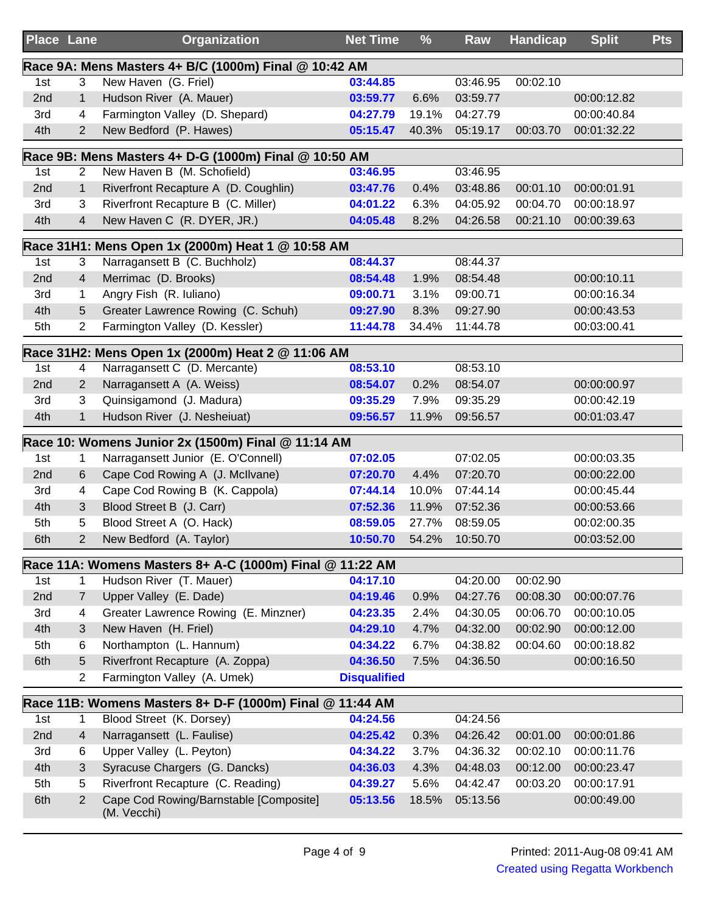|     | <b>Place Lane</b>       | Organization                                                                      | <b>Net Time</b>     | %     | Raw      | <b>Handicap</b> | <b>Split</b> | <b>Pts</b> |
|-----|-------------------------|-----------------------------------------------------------------------------------|---------------------|-------|----------|-----------------|--------------|------------|
|     |                         | Race 9A: Mens Masters 4+ B/C (1000m) Final @ 10:42 AM                             |                     |       |          |                 |              |            |
| 1st | 3                       | New Haven (G. Friel)                                                              | 03:44.85            |       | 03:46.95 | 00:02.10        |              |            |
| 2nd | $\mathbf{1}$            | Hudson River (A. Mauer)                                                           | 03:59.77            | 6.6%  | 03:59.77 |                 | 00:00:12.82  |            |
| 3rd | 4                       | Farmington Valley (D. Shepard)                                                    | 04:27.79            | 19.1% | 04:27.79 |                 | 00:00:40.84  |            |
| 4th | $\overline{2}$          | New Bedford (P. Hawes)                                                            | 05:15.47            | 40.3% | 05:19.17 | 00:03.70        | 00:01:32.22  |            |
|     |                         | Race 9B: Mens Masters 4+ D-G (1000m) Final @ 10:50 AM                             |                     |       |          |                 |              |            |
| 1st | 2                       | New Haven B (M. Schofield)                                                        | 03:46.95            |       | 03:46.95 |                 |              |            |
| 2nd | $\mathbf{1}$            | Riverfront Recapture A (D. Coughlin)                                              | 03:47.76            | 0.4%  | 03:48.86 | 00:01.10        | 00:00:01.91  |            |
| 3rd | 3                       | Riverfront Recapture B (C. Miller)                                                | 04:01.22            | 6.3%  | 04:05.92 | 00:04.70        | 00:00:18.97  |            |
| 4th | $\overline{\mathbf{4}}$ | New Haven C (R. DYER, JR.)                                                        | 04:05.48            | 8.2%  | 04:26.58 | 00:21.10        | 00:00:39.63  |            |
|     |                         |                                                                                   |                     |       |          |                 |              |            |
| 1st | 3                       | Race 31H1: Mens Open 1x (2000m) Heat 1 @ 10:58 AM<br>Narragansett B (C. Buchholz) | 08:44.37            |       | 08:44.37 |                 |              |            |
| 2nd | $\overline{\mathbf{4}}$ | Merrimac (D. Brooks)                                                              | 08:54.48            | 1.9%  | 08:54.48 |                 | 00:00:10.11  |            |
| 3rd | 1                       | Angry Fish (R. Iuliano)                                                           | 09:00.71            | 3.1%  | 09:00.71 |                 | 00:00:16.34  |            |
| 4th | 5                       | Greater Lawrence Rowing (C. Schuh)                                                | 09:27.90            | 8.3%  | 09:27.90 |                 | 00:00:43.53  |            |
| 5th | $\overline{2}$          | Farmington Valley (D. Kessler)                                                    | 11:44.78            | 34.4% | 11:44.78 |                 | 00:03:00.41  |            |
|     |                         |                                                                                   |                     |       |          |                 |              |            |
|     |                         | Race 31H2: Mens Open 1x (2000m) Heat 2 @ 11:06 AM                                 |                     |       |          |                 |              |            |
| 1st | 4                       | Narragansett C (D. Mercante)                                                      | 08:53.10            |       | 08:53.10 |                 |              |            |
| 2nd | 2                       | Narragansett A (A. Weiss)                                                         | 08:54.07            | 0.2%  | 08:54.07 |                 | 00:00:00.97  |            |
| 3rd | 3                       | Quinsigamond (J. Madura)                                                          | 09:35.29            | 7.9%  | 09:35.29 |                 | 00:00:42.19  |            |
| 4th | $\mathbf{1}$            | Hudson River (J. Nesheiuat)                                                       | 09:56.57            | 11.9% | 09:56.57 |                 | 00:01:03.47  |            |
|     |                         | Race 10: Womens Junior 2x (1500m) Final @ 11:14 AM                                |                     |       |          |                 |              |            |
| 1st | 1                       | Narragansett Junior (E. O'Connell)                                                | 07:02.05            |       | 07:02.05 |                 | 00:00:03.35  |            |
| 2nd | 6                       | Cape Cod Rowing A (J. McIlvane)                                                   | 07:20.70            | 4.4%  | 07:20.70 |                 | 00:00:22.00  |            |
| 3rd | 4                       | Cape Cod Rowing B (K. Cappola)                                                    | 07:44.14            | 10.0% | 07:44.14 |                 | 00:00:45.44  |            |
| 4th | 3                       | Blood Street B (J. Carr)                                                          | 07:52.36            | 11.9% | 07:52.36 |                 | 00:00:53.66  |            |
| 5th | 5                       | Blood Street A (O. Hack)                                                          | 08:59.05            | 27.7% | 08:59.05 |                 | 00:02:00.35  |            |
| 6th | $\overline{2}$          | New Bedford (A. Taylor)                                                           | 10:50.70            | 54.2% | 10:50.70 |                 | 00:03:52.00  |            |
|     |                         | Race 11A: Womens Masters 8+ A-C (1000m) Final @ 11:22 AM                          |                     |       |          |                 |              |            |
| 1st | 1                       | Hudson River (T. Mauer)                                                           | 04:17.10            |       | 04:20.00 | 00:02.90        |              |            |
| 2nd | $\overline{7}$          | Upper Valley (E. Dade)                                                            | 04:19.46            | 0.9%  | 04:27.76 | 00:08.30        | 00:00:07.76  |            |
| 3rd | 4                       | Greater Lawrence Rowing (E. Minzner)                                              | 04:23.35            | 2.4%  | 04:30.05 | 00:06.70        | 00:00:10.05  |            |
| 4th | 3                       | New Haven (H. Friel)                                                              | 04:29.10            | 4.7%  | 04:32.00 | 00:02.90        | 00:00:12.00  |            |
| 5th | 6                       | Northampton (L. Hannum)                                                           | 04:34.22            | 6.7%  | 04:38.82 | 00:04.60        | 00:00:18.82  |            |
| 6th | 5                       | Riverfront Recapture (A. Zoppa)                                                   | 04:36.50            | 7.5%  | 04:36.50 |                 | 00:00:16.50  |            |
|     | 2                       | Farmington Valley (A. Umek)                                                       | <b>Disqualified</b> |       |          |                 |              |            |
|     |                         | Race 11B: Womens Masters 8+ D-F (1000m) Final @ 11:44 AM                          |                     |       |          |                 |              |            |
| 1st | 1                       | Blood Street (K. Dorsey)                                                          | 04:24.56            |       | 04:24.56 |                 |              |            |
| 2nd | $\overline{4}$          | Narragansett (L. Faulise)                                                         | 04:25.42            | 0.3%  | 04:26.42 | 00:01.00        | 00:00:01.86  |            |
| 3rd | 6                       | Upper Valley (L. Peyton)                                                          | 04:34.22            | 3.7%  | 04:36.32 | 00:02.10        | 00:00:11.76  |            |
| 4th | 3                       | Syracuse Chargers (G. Dancks)                                                     | 04:36.03            | 4.3%  | 04:48.03 | 00:12.00        | 00:00:23.47  |            |
| 5th | 5                       | Riverfront Recapture (C. Reading)                                                 | 04:39.27            | 5.6%  | 04:42.47 | 00:03.20        | 00:00:17.91  |            |
| 6th | $\overline{2}$          | Cape Cod Rowing/Barnstable [Composite]                                            | 05:13.56            | 18.5% | 05:13.56 |                 | 00:00:49.00  |            |
|     |                         | (M. Vecchi)                                                                       |                     |       |          |                 |              |            |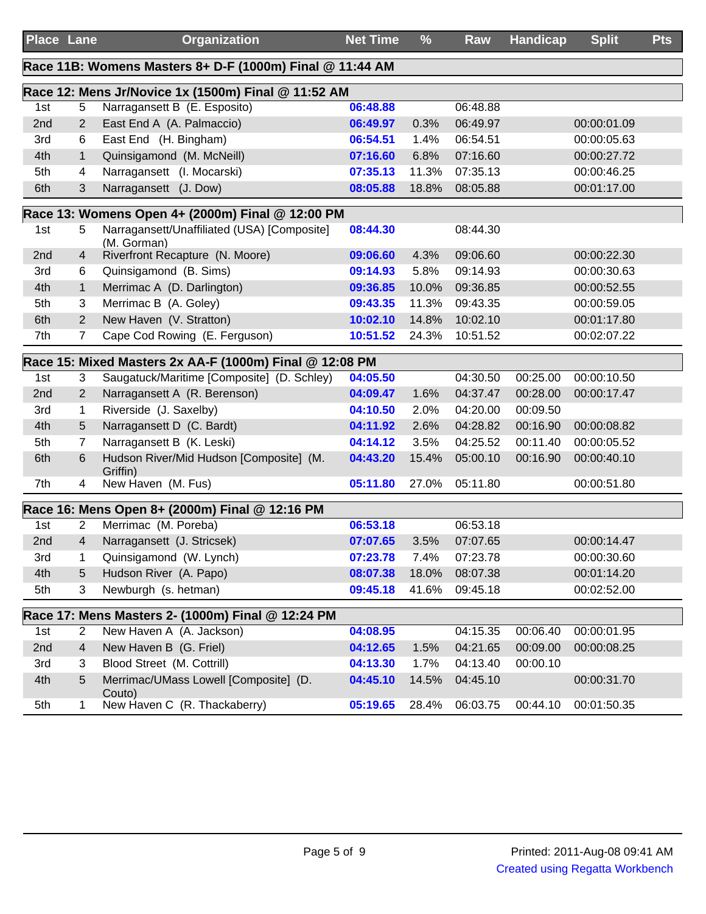|     | Place Lane     | <b>Organization</b>                                        | <b>Net Time</b>        | $\frac{9}{6}$ | Raw      | <b>Handicap</b> | <b>Split</b> | <b>Pts</b> |
|-----|----------------|------------------------------------------------------------|------------------------|---------------|----------|-----------------|--------------|------------|
|     |                | Race 11B: Womens Masters 8+ D-F (1000m) Final @ 11:44 AM   |                        |               |          |                 |              |            |
|     |                | Race 12: Mens Jr/Novice 1x (1500m) Final @ 11:52 AM        |                        |               |          |                 |              |            |
| 1st | 5              | Narragansett B (E. Esposito)                               | 06:48.88               |               | 06:48.88 |                 |              |            |
| 2nd | $\overline{2}$ | East End A (A. Palmaccio)                                  | 06:49.97               | 0.3%          | 06:49.97 |                 | 00:00:01.09  |            |
| 3rd | 6              | East End (H. Bingham)                                      | 06:54.51               | 1.4%          | 06:54.51 |                 | 00:00:05.63  |            |
| 4th | $\mathbf{1}$   | Quinsigamond (M. McNeill)                                  | 07:16.60               | 6.8%          | 07:16.60 |                 | 00:00:27.72  |            |
| 5th | 4              | Narragansett (I. Mocarski)                                 | 07:35.13               | 11.3%         | 07:35.13 |                 | 00:00:46.25  |            |
| 6th | 3              | Narragansett (J. Dow)                                      | 08:05.88               | 18.8%         | 08:05.88 |                 | 00:01:17.00  |            |
|     |                | Race 13: Womens Open 4+ (2000m) Final @ 12:00 PM           |                        |               |          |                 |              |            |
| 1st | 5              | Narragansett/Unaffiliated (USA) [Composite]<br>(M. Gorman) | 08:44.30               |               | 08:44.30 |                 |              |            |
| 2nd | 4              | Riverfront Recapture (N. Moore)                            | 09:06.60               | 4.3%          | 09:06.60 |                 | 00:00:22.30  |            |
| 3rd | 6              | Quinsigamond (B. Sims)                                     | 09:14.93               | 5.8%          | 09:14.93 |                 | 00:00:30.63  |            |
| 4th | $\mathbf{1}$   | Merrimac A (D. Darlington)                                 | 09:36.85               | 10.0%         | 09:36.85 |                 | 00:00:52.55  |            |
| 5th | 3              | Merrimac B (A. Goley)                                      | 09:43.35               | 11.3%         | 09:43.35 |                 | 00:00:59.05  |            |
| 6th | $\overline{2}$ | New Haven (V. Stratton)                                    | 10:02.10               | 14.8%         | 10:02.10 |                 | 00:01:17.80  |            |
| 7th | $\overline{7}$ | Cape Cod Rowing (E. Ferguson)                              | 10:51.52               | 24.3%         | 10:51.52 |                 | 00:02:07.22  |            |
|     |                | Race 15: Mixed Masters 2x AA-F (1000m) Final @ 12:08 PM    |                        |               |          |                 |              |            |
| 1st | 3              | Saugatuck/Maritime [Composite] (D. Schley)                 | 04:05.50               |               | 04:30.50 | 00:25.00        | 00:00:10.50  |            |
| 2nd | $\overline{2}$ | Narragansett A (R. Berenson)                               | 04:09.47               | 1.6%          | 04:37.47 | 00:28.00        | 00:00:17.47  |            |
| 3rd | 1              | Riverside (J. Saxelby)                                     | 04:10.50               | 2.0%          | 04:20.00 | 00:09.50        |              |            |
| 4th | 5              | Narragansett D (C. Bardt)                                  | 04:11.92               | 2.6%          | 04:28.82 | 00:16.90        | 00:00:08.82  |            |
| 5th | 7              | Narragansett B (K. Leski)                                  | 04:14.12               | 3.5%          | 04:25.52 | 00:11.40        | 00:00:05.52  |            |
| 6th | 6              | Hudson River/Mid Hudson [Composite] (M.<br>Griffin)        | 04:43.20               | 15.4%         | 05:00.10 | 00:16.90        | 00:00:40.10  |            |
| 7th | 4              | New Haven (M. Fus)                                         | 05:11.80               | 27.0%         | 05:11.80 |                 | 00:00:51.80  |            |
|     |                | Race 16: Mens Open 8+ (2000m) Final @ 12:16 PM             |                        |               |          |                 |              |            |
| 1st | $\overline{2}$ | Merrimac (M. Poreba)                                       | 06:53.18               |               | 06:53.18 |                 |              |            |
| 2nd | 4              | Narragansett (J. Stricsek)                                 | 07:07.65 3.5% 07:07.65 |               |          |                 | 00:00:14.47  |            |
| 3rd | 1              | Quinsigamond (W. Lynch)                                    | 07:23.78               | 7.4%          | 07:23.78 |                 | 00:00:30.60  |            |
| 4th | 5              | Hudson River (A. Papo)                                     | 08:07.38               | 18.0%         | 08:07.38 |                 | 00:01:14.20  |            |
| 5th | 3              | Newburgh (s. hetman)                                       | 09:45.18               | 41.6%         | 09:45.18 |                 | 00:02:52.00  |            |
|     |                | Race 17: Mens Masters 2- (1000m) Final @ 12:24 PM          |                        |               |          |                 |              |            |
| 1st | 2              | New Haven A (A. Jackson)                                   | 04:08.95               |               | 04:15.35 | 00:06.40        | 00:00:01.95  |            |
| 2nd | 4              | New Haven B (G. Friel)                                     | 04:12.65               | 1.5%          | 04:21.65 | 00:09.00        | 00:00:08.25  |            |
| 3rd | 3              | Blood Street (M. Cottrill)                                 | 04:13.30               | 1.7%          | 04:13.40 | 00:00.10        |              |            |
| 4th | 5              | Merrimac/UMass Lowell [Composite] (D.<br>Couto)            | 04:45.10               | 14.5%         | 04:45.10 |                 | 00:00:31.70  |            |
| 5th | 1              | New Haven C (R. Thackaberry)                               | 05:19.65               | 28.4%         | 06:03.75 | 00:44.10        | 00:01:50.35  |            |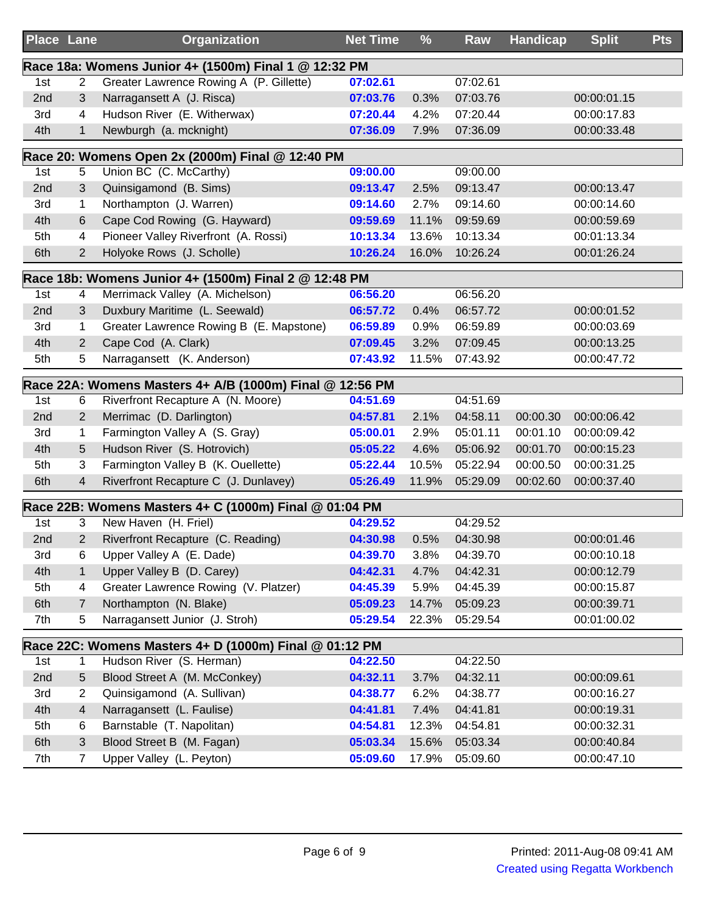| <b>Place Lane</b> |                | <b>Organization</b>                                      | <b>Net Time</b> | $\frac{9}{6}$ | Raw      | <b>Handicap</b> | <b>Split</b> | <b>Pts</b> |
|-------------------|----------------|----------------------------------------------------------|-----------------|---------------|----------|-----------------|--------------|------------|
|                   |                | Race 18a: Womens Junior 4+ (1500m) Final 1 @ 12:32 PM    |                 |               |          |                 |              |            |
| 1st               | 2              | Greater Lawrence Rowing A (P. Gillette)                  | 07:02.61        |               | 07:02.61 |                 |              |            |
| 2nd               | 3              | Narragansett A (J. Risca)                                | 07:03.76        | 0.3%          | 07:03.76 |                 | 00:00:01.15  |            |
| 3rd               | 4              | Hudson River (E. Witherwax)                              | 07:20.44        | 4.2%          | 07:20.44 |                 | 00:00:17.83  |            |
| 4th               | $\mathbf{1}$   | Newburgh (a. mcknight)                                   | 07:36.09        | 7.9%          | 07:36.09 |                 | 00:00:33.48  |            |
|                   |                | Race 20: Womens Open 2x (2000m) Final @ 12:40 PM         |                 |               |          |                 |              |            |
| 1st               | 5              | Union BC (C. McCarthy)                                   | 09:00.00        |               | 09:00.00 |                 |              |            |
| 2nd               | 3              | Quinsigamond (B. Sims)                                   | 09:13.47        | 2.5%          | 09:13.47 |                 | 00:00:13.47  |            |
| 3rd               | 1              | Northampton (J. Warren)                                  | 09:14.60        | 2.7%          | 09:14.60 |                 | 00:00:14.60  |            |
| 4th               | 6              | Cape Cod Rowing (G. Hayward)                             | 09:59.69        | 11.1%         | 09:59.69 |                 | 00:00:59.69  |            |
| 5th               | 4              | Pioneer Valley Riverfront (A. Rossi)                     | 10:13.34        | 13.6%         | 10:13.34 |                 | 00:01:13.34  |            |
| 6th               | $\overline{2}$ | Holyoke Rows (J. Scholle)                                | 10:26.24        | 16.0%         | 10:26.24 |                 | 00:01:26.24  |            |
|                   |                | Race 18b: Womens Junior 4+ (1500m) Final 2 @ 12:48 PM    |                 |               |          |                 |              |            |
| 1st               | 4              | Merrimack Valley (A. Michelson)                          | 06:56.20        |               | 06:56.20 |                 |              |            |
| 2nd               | 3              | Duxbury Maritime (L. Seewald)                            | 06:57.72        | 0.4%          | 06:57.72 |                 | 00:00:01.52  |            |
| 3rd               | 1              | Greater Lawrence Rowing B (E. Mapstone)                  | 06:59.89        | 0.9%          | 06:59.89 |                 | 00:00:03.69  |            |
| 4th               | $\overline{2}$ | Cape Cod (A. Clark)                                      | 07:09.45        | 3.2%          | 07:09.45 |                 | 00:00:13.25  |            |
| 5th               | 5              | Narragansett (K. Anderson)                               | 07:43.92        | 11.5%         | 07:43.92 |                 | 00:00:47.72  |            |
|                   |                | Race 22A: Womens Masters 4+ A/B (1000m) Final @ 12:56 PM |                 |               |          |                 |              |            |
| 1st               | 6              | Riverfront Recapture A (N. Moore)                        | 04:51.69        |               | 04:51.69 |                 |              |            |
| 2nd               | 2              | Merrimac (D. Darlington)                                 | 04:57.81        | 2.1%          | 04:58.11 | 00:00.30        | 00:00:06.42  |            |
| 3rd               | 1              | Farmington Valley A (S. Gray)                            | 05:00.01        | 2.9%          | 05:01.11 | 00:01.10        | 00:00:09.42  |            |
| 4th               | 5              | Hudson River (S. Hotrovich)                              | 05:05.22        | 4.6%          | 05:06.92 | 00:01.70        | 00:00:15.23  |            |
| 5th               | 3              | Farmington Valley B (K. Ouellette)                       | 05:22.44        | 10.5%         | 05:22.94 | 00:00.50        | 00:00:31.25  |            |
| 6th               | 4              | Riverfront Recapture C (J. Dunlavey)                     | 05:26.49        | 11.9%         | 05:29.09 | 00:02.60        | 00:00:37.40  |            |
|                   |                | Race 22B: Womens Masters 4+ C (1000m) Final @ 01:04 PM   |                 |               |          |                 |              |            |
| 1st               | 3              | New Haven (H. Friel)                                     | 04:29.52        |               | 04:29.52 |                 |              |            |
| 2nd               | 2              | Riverfront Recapture (C. Reading)                        | 04:30.98        | 0.5%          | 04:30.98 |                 | 00:00:01.46  |            |
| 3rd               | 6              | Upper Valley A (E. Dade)                                 | 04:39.70        | 3.8%          | 04:39.70 |                 | 00:00:10.18  |            |
| 4th               | 1              | Upper Valley B (D. Carey)                                | 04:42.31        | 4.7%          | 04:42.31 |                 | 00:00:12.79  |            |
| 5th               | 4              | Greater Lawrence Rowing (V. Platzer)                     | 04:45.39        | 5.9%          | 04:45.39 |                 | 00:00:15.87  |            |
| 6th               | 7              | Northampton (N. Blake)                                   | 05:09.23        | 14.7%         | 05:09.23 |                 | 00:00:39.71  |            |
| 7th               | 5              | Narragansett Junior (J. Stroh)                           | 05:29.54        | 22.3%         | 05:29.54 |                 | 00:01:00.02  |            |
|                   |                | Race 22C: Womens Masters 4+ D (1000m) Final @ 01:12 PM   |                 |               |          |                 |              |            |
| 1st               | 1              | Hudson River (S. Herman)                                 | 04:22.50        |               | 04:22.50 |                 |              |            |
| 2nd               | 5              | Blood Street A (M. McConkey)                             | 04:32.11        | 3.7%          | 04:32.11 |                 | 00:00:09.61  |            |
| 3rd               | 2              | Quinsigamond (A. Sullivan)                               | 04:38.77        | 6.2%          | 04:38.77 |                 | 00:00:16.27  |            |
| 4th               | 4              | Narragansett (L. Faulise)                                | 04:41.81        | 7.4%          | 04:41.81 |                 | 00:00:19.31  |            |
| 5th               | 6              | Barnstable (T. Napolitan)                                | 04:54.81        | 12.3%         | 04:54.81 |                 | 00:00:32.31  |            |
| 6th               | 3              | Blood Street B (M. Fagan)                                | 05:03.34        | 15.6%         | 05:03.34 |                 | 00:00:40.84  |            |
| 7th               | $\overline{7}$ | Upper Valley (L. Peyton)                                 | 05:09.60        | 17.9%         | 05:09.60 |                 | 00:00:47.10  |            |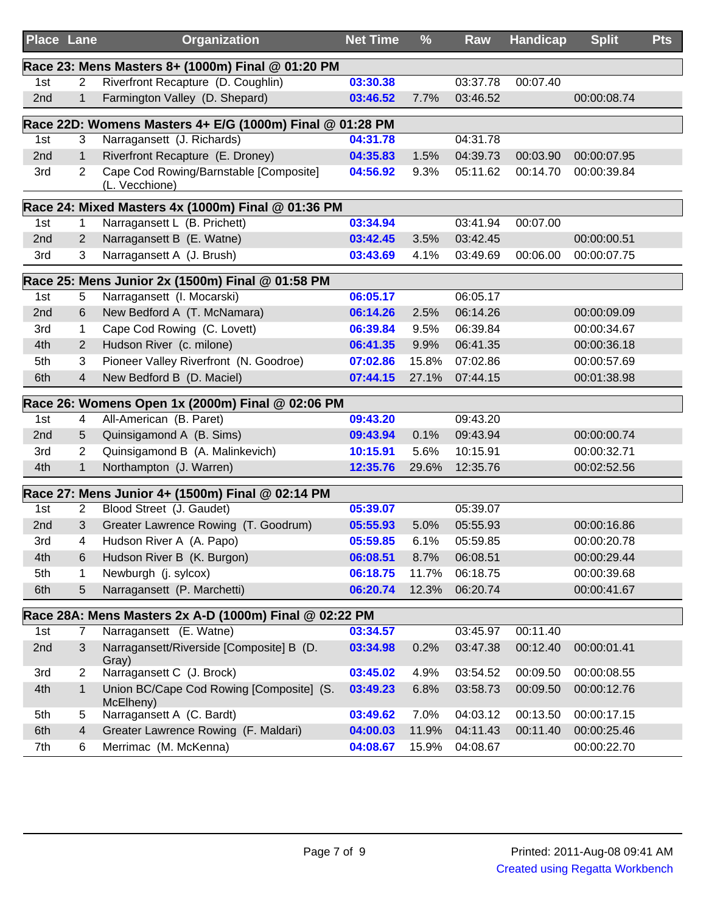| <b>Place Lane</b> |                | Organization                                             | <b>Net Time</b> | %     | Raw      | <b>Handicap</b> | <b>Split</b> | <b>Pts</b> |
|-------------------|----------------|----------------------------------------------------------|-----------------|-------|----------|-----------------|--------------|------------|
|                   |                | Race 23: Mens Masters 8+ (1000m) Final @ 01:20 PM        |                 |       |          |                 |              |            |
| 1st               | 2              | Riverfront Recapture (D. Coughlin)                       | 03:30.38        |       | 03:37.78 | 00:07.40        |              |            |
| 2nd               | $\mathbf{1}$   | Farmington Valley (D. Shepard)                           | 03:46.52        | 7.7%  | 03:46.52 |                 | 00:00:08.74  |            |
|                   |                | Race 22D: Womens Masters 4+ E/G (1000m) Final @ 01:28 PM |                 |       |          |                 |              |            |
| 1st               | 3              | Narragansett (J. Richards)                               | 04:31.78        |       | 04:31.78 |                 |              |            |
| 2nd               | $\mathbf{1}$   | Riverfront Recapture (E. Droney)                         | 04:35.83        | 1.5%  | 04:39.73 | 00:03.90        | 00:00:07.95  |            |
| 3rd               | $\overline{2}$ | Cape Cod Rowing/Barnstable [Composite]<br>(L. Vecchione) | 04:56.92        | 9.3%  | 05:11.62 | 00:14.70        | 00:00:39.84  |            |
|                   |                | Race 24: Mixed Masters 4x (1000m) Final @ 01:36 PM       |                 |       |          |                 |              |            |
| 1st               | 1              | Narragansett L (B. Prichett)                             | 03:34.94        |       | 03:41.94 | 00:07.00        |              |            |
| 2nd               | $\overline{2}$ | Narragansett B (E. Watne)                                | 03:42.45        | 3.5%  | 03:42.45 |                 | 00:00:00.51  |            |
| 3rd               | 3              | Narragansett A (J. Brush)                                | 03:43.69        | 4.1%  | 03:49.69 | 00:06.00        | 00:00:07.75  |            |
|                   |                | Race 25: Mens Junior 2x (1500m) Final @ 01:58 PM         |                 |       |          |                 |              |            |
| 1st               | 5              | Narragansett (I. Mocarski)                               | 06:05.17        |       | 06:05.17 |                 |              |            |
| 2nd               | 6              | New Bedford A (T. McNamara)                              | 06:14.26        | 2.5%  | 06:14.26 |                 | 00:00:09.09  |            |
| 3rd               | $\mathbf{1}$   | Cape Cod Rowing (C. Lovett)                              | 06:39.84        | 9.5%  | 06:39.84 |                 | 00:00:34.67  |            |
| 4th               | $\overline{2}$ | Hudson River (c. milone)                                 | 06:41.35        | 9.9%  | 06:41.35 |                 | 00:00:36.18  |            |
| 5th               | 3              | Pioneer Valley Riverfront (N. Goodroe)                   | 07:02.86        | 15.8% | 07:02.86 |                 | 00:00:57.69  |            |
| 6th               | $\overline{4}$ | New Bedford B (D. Maciel)                                | 07:44.15        | 27.1% | 07:44.15 |                 | 00:01:38.98  |            |
|                   |                | Race 26: Womens Open 1x (2000m) Final @ 02:06 PM         |                 |       |          |                 |              |            |
| 1st               | 4              | All-American (B. Paret)                                  | 09:43.20        |       | 09:43.20 |                 |              |            |
| 2nd               | 5              | Quinsigamond A (B. Sims)                                 | 09:43.94        | 0.1%  | 09:43.94 |                 | 00:00:00.74  |            |
| 3rd               | $\overline{c}$ | Quinsigamond B (A. Malinkevich)                          | 10:15.91        | 5.6%  | 10:15.91 |                 | 00:00:32.71  |            |
| 4th               | $\mathbf{1}$   | Northampton (J. Warren)                                  | 12:35.76        | 29.6% | 12:35.76 |                 | 00:02:52.56  |            |
|                   |                | Race 27: Mens Junior 4+ (1500m) Final @ 02:14 PM         |                 |       |          |                 |              |            |
| 1st               | $\overline{2}$ | Blood Street (J. Gaudet)                                 | 05:39.07        |       | 05:39.07 |                 |              |            |
| 2nd               | 3              | Greater Lawrence Rowing (T. Goodrum)                     | 05:55.93        | 5.0%  | 05:55.93 |                 | 00:00:16.86  |            |
| 3rd               | 4              | Hudson River A (A. Papo)                                 | 05:59.85        | 6.1%  | 05:59.85 |                 | 00:00:20.78  |            |
| 4th               | 6              | Hudson River B (K. Burgon)                               | 06:08.51        | 8.7%  | 06:08.51 |                 | 00:00:29.44  |            |
| 5th               | 1              | Newburgh (j. sylcox)                                     | 06:18.75        | 11.7% | 06:18.75 |                 | 00:00:39.68  |            |
| 6th               | 5              | Narragansett (P. Marchetti)                              | 06:20.74        | 12.3% | 06:20.74 |                 | 00:00:41.67  |            |
|                   |                | Race 28A: Mens Masters 2x A-D (1000m) Final @ 02:22 PM   |                 |       |          |                 |              |            |
| 1st               | 7              | Narragansett (E. Watne)                                  | 03:34.57        |       | 03:45.97 | 00:11.40        |              |            |
| 2nd               | 3              | Narragansett/Riverside [Composite] B (D.<br>Gray)        | 03:34.98        | 0.2%  | 03:47.38 | 00:12.40        | 00:00:01.41  |            |
| 3rd               | $\overline{2}$ | Narragansett C (J. Brock)                                | 03:45.02        | 4.9%  | 03:54.52 | 00:09.50        | 00:00:08.55  |            |
| 4th               | $\mathbf{1}$   | Union BC/Cape Cod Rowing [Composite] (S.<br>McElheny)    | 03:49.23        | 6.8%  | 03:58.73 | 00:09.50        | 00:00:12.76  |            |
| 5th               | 5              | Narragansett A (C. Bardt)                                | 03:49.62        | 7.0%  | 04:03.12 | 00:13.50        | 00:00:17.15  |            |
| 6th               | $\overline{4}$ | Greater Lawrence Rowing (F. Maldari)                     | 04:00.03        | 11.9% | 04:11.43 | 00:11.40        | 00:00:25.46  |            |
| 7th               | 6              | Merrimac (M. McKenna)                                    | 04:08.67        | 15.9% | 04:08.67 |                 | 00:00:22.70  |            |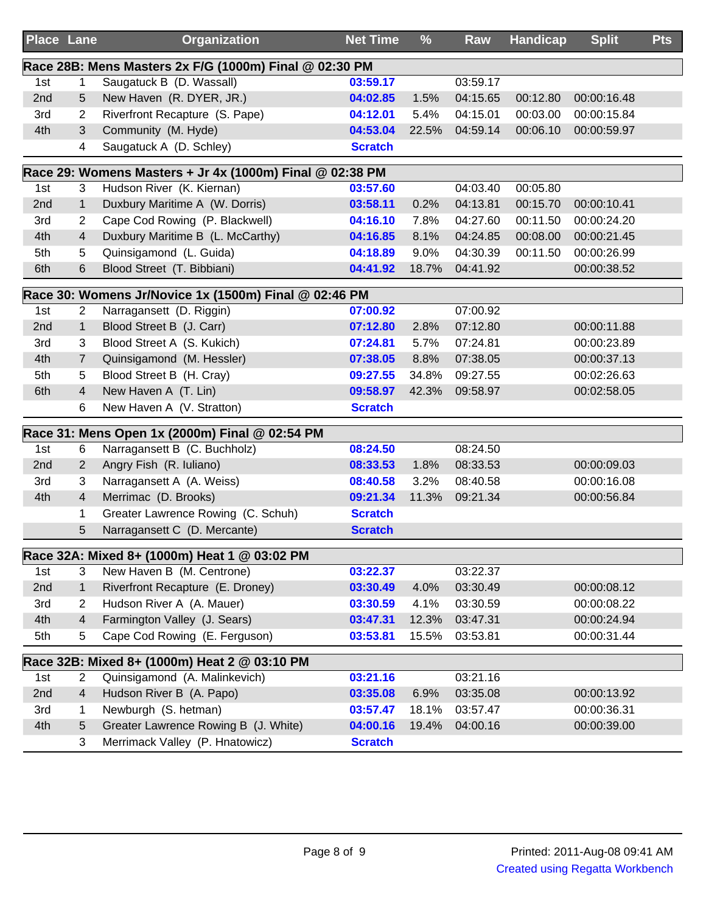| <b>Place Lane</b> |                | <b>Organization</b>                                      | <b>Net Time</b> | $\frac{9}{6}$ | Raw      | <b>Handicap</b> | <b>Split</b> | <b>Pts</b> |
|-------------------|----------------|----------------------------------------------------------|-----------------|---------------|----------|-----------------|--------------|------------|
|                   |                | Race 28B: Mens Masters 2x F/G (1000m) Final @ 02:30 PM   |                 |               |          |                 |              |            |
| 1st               | 1              | Saugatuck B (D. Wassall)                                 | 03:59.17        |               | 03:59.17 |                 |              |            |
| 2nd               | 5              | New Haven (R. DYER, JR.)                                 | 04:02.85        | 1.5%          | 04:15.65 | 00:12.80        | 00:00:16.48  |            |
| 3rd               | 2              | Riverfront Recapture (S. Pape)                           | 04:12.01        | 5.4%          | 04:15.01 | 00:03.00        | 00:00:15.84  |            |
| 4th               | 3              | Community (M. Hyde)                                      | 04:53.04        | 22.5%         | 04:59.14 | 00:06.10        | 00:00:59.97  |            |
|                   | 4              | Saugatuck A (D. Schley)                                  | <b>Scratch</b>  |               |          |                 |              |            |
|                   |                | Race 29: Womens Masters + Jr 4x (1000m) Final @ 02:38 PM |                 |               |          |                 |              |            |
| 1st               | 3              | Hudson River (K. Kiernan)                                | 03:57.60        |               | 04:03.40 | 00:05.80        |              |            |
| 2nd               | 1              | Duxbury Maritime A (W. Dorris)                           | 03:58.11        | 0.2%          | 04:13.81 | 00:15.70        | 00:00:10.41  |            |
| 3rd               | 2              | Cape Cod Rowing (P. Blackwell)                           | 04:16.10        | 7.8%          | 04:27.60 | 00:11.50        | 00:00:24.20  |            |
| 4th               | 4              | Duxbury Maritime B (L. McCarthy)                         | 04:16.85        | 8.1%          | 04:24.85 | 00:08.00        | 00:00:21.45  |            |
| 5th               | 5              | Quinsigamond (L. Guida)                                  | 04:18.89        | 9.0%          | 04:30.39 | 00:11.50        | 00:00:26.99  |            |
| 6th               | 6              | Blood Street (T. Bibbiani)                               | 04:41.92        | 18.7%         | 04:41.92 |                 | 00:00:38.52  |            |
|                   |                | Race 30: Womens Jr/Novice 1x (1500m) Final @ 02:46 PM    |                 |               |          |                 |              |            |
| 1st               | $\overline{2}$ | Narragansett (D. Riggin)                                 | 07:00.92        |               | 07:00.92 |                 |              |            |
| 2nd               | 1              | Blood Street B (J. Carr)                                 | 07:12.80        | 2.8%          | 07:12.80 |                 | 00:00:11.88  |            |
| 3rd               | 3              | Blood Street A (S. Kukich)                               | 07:24.81        | 5.7%          | 07:24.81 |                 | 00:00:23.89  |            |
| 4th               | $\overline{7}$ | Quinsigamond (M. Hessler)                                | 07:38.05        | 8.8%          | 07:38.05 |                 | 00:00:37.13  |            |
| 5th               | 5              | Blood Street B (H. Cray)                                 | 09:27.55        | 34.8%         | 09:27.55 |                 | 00:02:26.63  |            |
| 6th               | 4              | New Haven A (T. Lin)                                     | 09:58.97        | 42.3%         | 09:58.97 |                 | 00:02:58.05  |            |
|                   | 6              | New Haven A (V. Stratton)                                | <b>Scratch</b>  |               |          |                 |              |            |
|                   |                | Race 31: Mens Open 1x (2000m) Final @ 02:54 PM           |                 |               |          |                 |              |            |
| 1st               | 6              | Narragansett B (C. Buchholz)                             | 08:24.50        |               | 08:24.50 |                 |              |            |
| 2nd               | 2              | Angry Fish (R. Iuliano)                                  | 08:33.53        | 1.8%          | 08:33.53 |                 | 00:00:09.03  |            |
| 3rd               | 3              | Narragansett A (A. Weiss)                                | 08:40.58        | 3.2%          | 08:40.58 |                 | 00:00:16.08  |            |
| 4th               | 4              | Merrimac (D. Brooks)                                     | 09:21.34        | 11.3%         | 09:21.34 |                 | 00:00:56.84  |            |
|                   | 1              | Greater Lawrence Rowing (C. Schuh)                       | <b>Scratch</b>  |               |          |                 |              |            |
|                   | 5              | Narragansett C (D. Mercante)                             | <b>Scratch</b>  |               |          |                 |              |            |
|                   |                | Race 32A: Mixed 8+ (1000m) Heat 1 @ 03:02 PM             |                 |               |          |                 |              |            |
| 1st               | 3              | New Haven B (M. Centrone)                                | 03:22.37        |               | 03:22.37 |                 |              |            |
| 2nd               | 1              | Riverfront Recapture (E. Droney)                         | 03:30.49        | 4.0%          | 03:30.49 |                 | 00:00:08.12  |            |
| 3rd               | 2              | Hudson River A (A. Mauer)                                | 03:30.59        | 4.1%          | 03:30.59 |                 | 00:00:08.22  |            |
| 4th               | 4              | Farmington Valley (J. Sears)                             | 03:47.31        | 12.3%         | 03:47.31 |                 | 00:00:24.94  |            |
| 5th               | 5              | Cape Cod Rowing (E. Ferguson)                            | 03:53.81        | 15.5%         | 03:53.81 |                 | 00:00:31.44  |            |
|                   |                | Race 32B: Mixed 8+ (1000m) Heat 2 @ 03:10 PM             |                 |               |          |                 |              |            |
| 1st               | $\overline{2}$ | Quinsigamond (A. Malinkevich)                            | 03:21.16        |               | 03:21.16 |                 |              |            |
| 2nd               | 4              | Hudson River B (A. Papo)                                 | 03:35.08        | 6.9%          | 03:35.08 |                 | 00:00:13.92  |            |
| 3rd               | 1              | Newburgh (S. hetman)                                     | 03:57.47        | 18.1%         | 03:57.47 |                 | 00:00:36.31  |            |
| 4th               | 5              | Greater Lawrence Rowing B (J. White)                     | 04:00.16        | 19.4%         | 04:00.16 |                 | 00:00:39.00  |            |
|                   | 3              | Merrimack Valley (P. Hnatowicz)                          | <b>Scratch</b>  |               |          |                 |              |            |